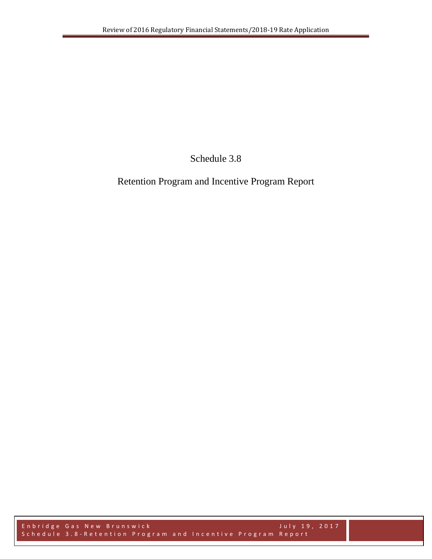Schedule 3.8

Retention Program and Incentive Program Report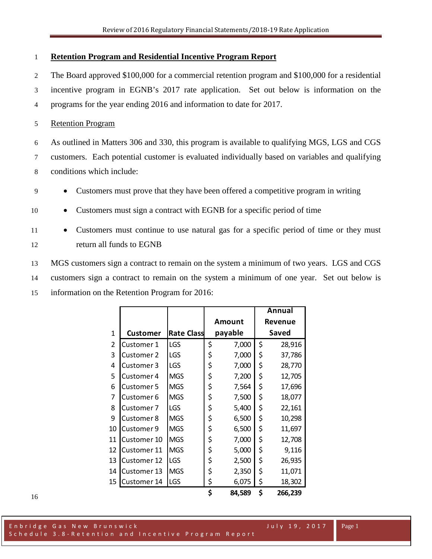## **Retention Program and Residential Incentive Program Report**

 The Board approved \$100,000 for a commercial retention program and \$100,000 for a residential incentive program in EGNB's 2017 rate application. Set out below is information on the programs for the year ending 2016 and information to date for 2017.

## Retention Program

 As outlined in Matters 306 and 330, this program is available to qualifying MGS, LGS and CGS customers. Each potential customer is evaluated individually based on variables and qualifying conditions which include:

- Customers must prove that they have been offered a competitive program in writing
- Customers must sign a contract with EGNB for a specific period of time
- Customers must continue to use natural gas for a specific period of time or they must return all funds to EGNB

 MGS customers sign a contract to remain on the system a minimum of two years. LGS and CGS customers sign a contract to remain on the system a minimum of one year. Set out below is information on the Retention Program for 2016:

|    |                   |                   |               | Annual |         |  |
|----|-------------------|-------------------|---------------|--------|---------|--|
|    |                   |                   | <b>Amount</b> |        | Revenue |  |
| 1  | <b>Customer</b>   | <b>Rate Class</b> | payable       | Saved  |         |  |
| 2  | Customer 1        | LGS               | \$<br>7,000   | \$     | 28,916  |  |
| 3  | Customer 2        | LGS               | \$<br>7,000   | \$     | 37,786  |  |
| 4  | Customer 3        | LGS               | \$<br>7,000   | \$     | 28,770  |  |
| 5  | Customer 4        | <b>MGS</b>        | \$<br>7,200   | \$     | 12,705  |  |
| 6  | Customer 5        | <b>MGS</b>        | \$<br>7,564   | \$     | 17,696  |  |
| 7  | Customer 6        | <b>MGS</b>        | \$<br>7,500   | \$     | 18,077  |  |
| 8  | Customer 7        | LGS               | \$<br>5,400   | \$     | 22,161  |  |
| 9  | <b>Customer 8</b> | <b>MGS</b>        | \$<br>6,500   | \$     | 10,298  |  |
| 10 | Customer 9        | <b>MGS</b>        | \$<br>6,500   | \$     | 11,697  |  |
| 11 | Customer 10       | <b>MGS</b>        | \$<br>7,000   | \$     | 12,708  |  |
| 12 | Customer 11       | <b>MGS</b>        | \$<br>5,000   | \$     | 9,116   |  |
| 13 | Customer 12       | <b>LGS</b>        | \$<br>2,500   | \$     | 26,935  |  |
| 14 | Customer 13       | <b>MGS</b>        | \$<br>2,350   | \$     | 11,071  |  |
| 15 | Customer 14       | LGS               | \$<br>6,075   | \$     | 18,302  |  |
|    |                   |                   | \$<br>84,589  | \$     | 266,239 |  |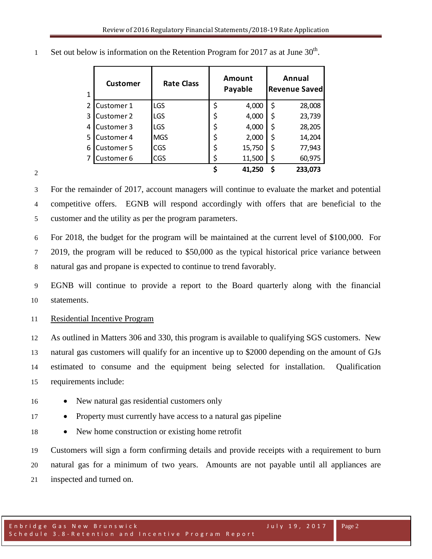| $\mathbf{1}$ | <b>Customer</b>   | <b>Rate Class</b> | Amount<br>Payable | Annual<br><b>Revenue Saved</b> |
|--------------|-------------------|-------------------|-------------------|--------------------------------|
| 2            | Customer 1        | LGS               | \$<br>4,000       | \$<br>28,008                   |
| 3            | <b>Customer 2</b> | LGS               | \$<br>4,000       | \$<br>23,739                   |
| 4            | Customer 3        | LGS               | \$<br>4,000       | \$<br>28,205                   |
| 5.           | Customer 4        | <b>MGS</b>        | \$<br>2,000       | \$<br>14,204                   |
| 6            | Customer 5        | <b>CGS</b>        | \$<br>15,750      | \$<br>77,943                   |
|              | Customer 6        | <b>CGS</b>        | \$<br>11,500      | \$<br>60,975                   |
|              |                   |                   | 41,250            | \$<br>233,073                  |

Set out below is information on the Retention Program for 2017 as at June  $30<sup>th</sup>$ .

 For the remainder of 2017, account managers will continue to evaluate the market and potential competitive offers. EGNB will respond accordingly with offers that are beneficial to the customer and the utility as per the program parameters.

 For 2018, the budget for the program will be maintained at the current level of \$100,000. For 2019, the program will be reduced to \$50,000 as the typical historical price variance between natural gas and propane is expected to continue to trend favorably.

 EGNB will continue to provide a report to the Board quarterly along with the financial statements.

Residential Incentive Program

 As outlined in Matters 306 and 330, this program is available to qualifying SGS customers. New natural gas customers will qualify for an incentive up to \$2000 depending on the amount of GJs estimated to consume and the equipment being selected for installation. Qualification requirements include:

- New natural gas residential customers only
- Property must currently have access to a natural gas pipeline
- New home construction or existing home retrofit

 Customers will sign a form confirming details and provide receipts with a requirement to burn natural gas for a minimum of two years. Amounts are not payable until all appliances are inspected and turned on.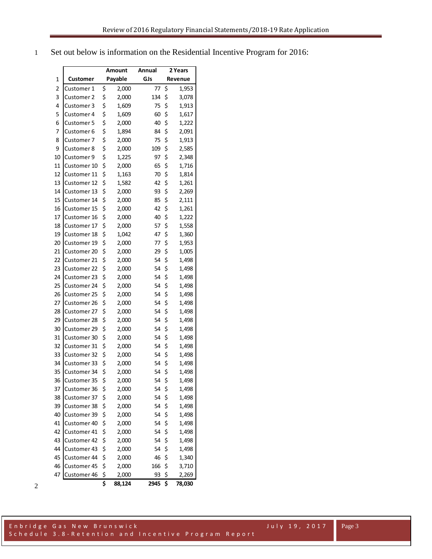Set out below is information on the Residential Incentive Program for 2016:

|                         |             | Amount |         | <b>Annual</b> | 2 Years |         |
|-------------------------|-------------|--------|---------|---------------|---------|---------|
| 1                       | Customer    |        | Payable | GJs           |         | Revenue |
| $\overline{\mathbf{c}}$ | Customer 1  | \$     | 2,000   | 77            | \$      | 1,953   |
| 3                       | Customer 2  | \$     | 2,000   | 134           | \$      | 3,078   |
| 4                       | Customer 3  | \$     | 1,609   | 75            | \$      | 1,913   |
| 5                       | Customer 4  | \$     | 1,609   | 60            | \$      | 1,617   |
| 6                       | Customer 5  | \$     | 2,000   | 40            | \$      | 1,222   |
| 7                       | Customer 6  | \$     | 1,894   | 84            | \$      | 2,091   |
| 8                       | Customer 7  | \$     | 2,000   | 75            | \$      | 1,913   |
| 9                       | Customer 8  | \$     | 2,000   | 109           | \$      | 2,585   |
| 10                      | Customer 9  | \$     | 1,225   | 97            | \$      | 2,348   |
| 11                      | Customer 10 | \$     | 2,000   | 65            | \$      | 1,716   |
| 12                      | Customer 11 | \$     | 1,163   | 70            | \$      | 1,814   |
| 13                      | Customer 12 | \$     | 1,582   | 42            | \$      | 1,261   |
| 14                      | Customer 13 | \$     | 2,000   | 93            | \$      | 2,269   |
| 15                      | Customer 14 | \$     | 2,000   | 85            | \$      | 2,111   |
| 16                      | Customer 15 | \$     | 2,000   | 42            | \$      | 1,261   |
| 17                      | Customer 16 | \$     | 2,000   | 40            | \$      | 1,222   |
| 18                      | Customer 17 | \$     | 2,000   | 57            | \$      | 1,558   |
| 19                      | Customer 18 | \$     | 1,042   | 47            | \$      | 1,360   |
| 20                      | Customer 19 | \$     | 2,000   | 77            | \$      | 1,953   |
| 21                      | Customer 20 | \$     | 2,000   | 29            | \$      | 1,005   |
| 22                      | Customer 21 | \$     | 2,000   | 54            | \$      | 1,498   |
| 23                      | Customer 22 | \$     | 2,000   | 54            | \$      | 1,498   |
| 24                      | Customer 23 | \$     | 2,000   | 54            | \$      | 1,498   |
| 25                      | Customer 24 | \$     | 2,000   | 54            | \$      | 1,498   |
| 26                      | Customer 25 | \$     | 2,000   | 54            | \$      | 1,498   |
| 27                      | Customer 26 | \$     | 2,000   | 54            | \$      | 1,498   |
| 28                      | Customer 27 | \$     | 2,000   | 54            | \$      | 1,498   |
| 29                      | Customer 28 | \$     | 2,000   | 54            | \$      | 1,498   |
| 30                      | Customer 29 | \$     | 2,000   | 54            | \$      | 1,498   |
| 31                      | Customer 30 | \$     | 2,000   | 54            | \$      | 1,498   |
| 32                      | Customer 31 | \$     | 2,000   | 54            | \$      | 1,498   |
| 33                      | Customer 32 | \$     | 2,000   | 54            | \$      | 1,498   |
| 34                      | Customer 33 | \$     | 2,000   | 54            | \$      | 1,498   |
| 35                      | Customer 34 | \$     | 2,000   | 54            | \$      | 1,498   |
| 36                      | Customer 35 | \$     | 2,000   | 54            | \$      | 1,498   |
| 37                      | Customer 36 | \$     | 2,000   | 54            | \$      | 1,498   |
| 38                      | Customer 37 | \$     | 2,000   | 54            | \$      | 1,498   |
| 39                      | Customer 38 | \$     | 2,000   | 54            | \$      | 1,498   |
| 40                      | Customer 39 | \$     | 2,000   | 54            | \$      | 1,498   |
| 41                      | Customer 40 | \$     | 2,000   | 54            | \$      | 1,498   |
| 42                      | Customer 41 | \$     | 2,000   | 54            | \$      | 1,498   |
| 43                      | Customer 42 | \$     | 2,000   | 54            | \$      | 1,498   |
| 44                      | Customer 43 | \$     | 2,000   | 54            | \$      | 1,498   |
| 45                      | Customer 44 | \$     | 2,000   | 46            | \$      | 1,340   |
| 46                      | Customer 45 | \$     | 2,000   | 166           | \$      | 3,710   |
| 47                      | Customer 46 | \$     | 2,000   | 93            | \$      | 2,269   |
|                         |             | \$     | 88,124  | 2945          | \$      | 78,030  |